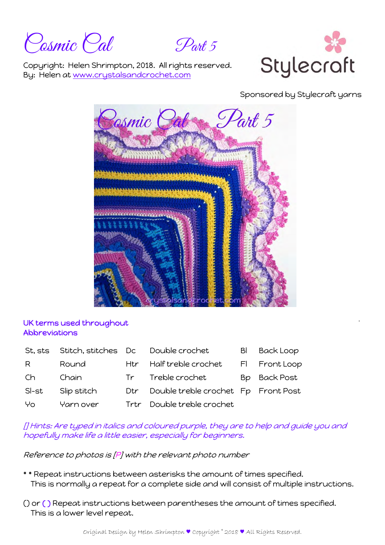Posmic Pal Part 5



Copyright: Helen Shrimpton, 2018. All rights reserved. By: Helen at www.crystalsandcrochet.com

Sponsored by Stylecraft yarns



# UK terms used throughout Abbreviations

| St. sts | Stitch, stitches Dc |      | Double crochet                      | BI | <b>Back Loop</b> |
|---------|---------------------|------|-------------------------------------|----|------------------|
| R       | Round               | Htr  | Half treble crochet                 |    | FI Front Loop    |
| Ch      | Chain               |      | Tr Treble crochet                   |    | Bp Back Post     |
| SI-st   | Slip stitch         | Dtr  | Double treble crochet Fp Front Post |    |                  |
| Yo      | Yarn over           | Trtr | Double treble crochet               |    |                  |

[] Hints: Are typed in italics and coloured purple, they are to help and guide you and hopefully make life a little easier, especially for beginners.

Reference to photos is [P] with the relevant photo number

- \* \* Repeat instructions between asterisks the amount of times specified. This is normally a repeat for a complete side and will consist of multiple instructions.
- () or ( ) Repeat instructions between parentheses the amount of times specified. This is a lower level repeat.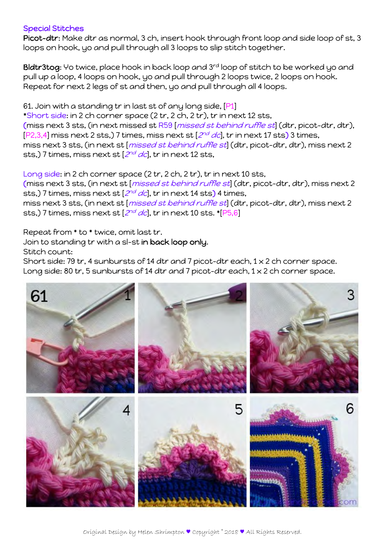### Special Stitches

Picot-dtr: Make dtr as normal, 3 ch, insert hook through front loop and side loop of st, 3 loops on hook, yo and pull through all 3 loops to slip stitch together.

Bldtr3tog: Yo twice, place hook in back loop and 3rd loop of stitch to be worked yo and pull up a loop, 4 loops on hook, yo and pull through 2 loops twice, 2 loops on hook. Repeat for next 2 legs of st and then, yo and pull through all 4 loops.

61. Join with a standing tr in last st of any long side, [P1]

\*Short side: in 2 ch corner space (2 tr, 2 ch, 2 tr), tr in next 12 sts, (miss next 3 sts, (in next missed st R59 [missed st behind ruffle st] (dtr, picot-dtr, dtr),  $[P2,3,4]$  miss next 2 sts,) 7 times, miss next st  $[2^{nd}$  dc], tr in next 17 sts) 3 times, miss next 3 sts, (in next st [missed st behind ruffle st] (dtr, picot-dtr, dtr), miss next 2 sts,) 7 times, miss next st  $[2^{nd}$  dc], tr in next 12 sts,

Long side: in 2 ch corner space (2 tr, 2 ch, 2 tr), tr in next 10 sts, (miss next 3 sts, (in next st [missed st behind ruffle st] (dtr, picot-dtr, dtr), miss next 2 sts,) 7 times, miss next st  $[2^{nd}$  dc], tr in next 14 sts) 4 times, miss next 3 sts, (in next st [*missed st behind ruffle st*] (dtr, picot-dtr, dtr), miss next 2 sts,) 7 times, miss next st  $[2^{nd}$  dc], tr in next 10 sts. \* $[P5,6]$ 

Repeat from \* to \* twice, omit last tr.

Join to standing tr with a sl-st in back loop only.

Stitch count:

Short side: 79 tr, 4 sunbursts of 14 dtr and 7 picot-dtr each,  $1 \times 2$  ch corner space. Long side: 80 tr, 5 sunbursts of 14 dtr and 7 picot-dtr each, 1 x 2 ch corner space.

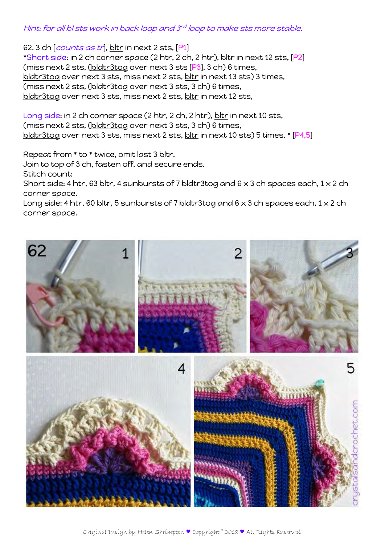### Hint: for all bl sts work in back loop and 3rd loop to make sts more stable.

62. 3 ch  $[counts as tr], bltr$  in next 2 sts,  $[P1]$ \*Short side: in 2 ch corner space (2 htr, 2 ch, 2 htr), bltr in next 12 sts, [P2] (miss next 2 sts, (bldtr3tog over next 3 sts [P3], 3 ch) 6 times, bldtr3tog over next 3 sts, miss next 2 sts, bltr in next 13 sts) 3 times, (miss next 2 sts, (bldtr3tog over next 3 sts, 3 ch) 6 times, bldtr3tog over next 3 sts, miss next 2 sts, bltr in next 12 sts,

Long side: in 2 ch corner space (2 htr, 2 ch, 2 htr), bltr in next 10 sts, (miss next 2 sts, (bldtr3tog over next 3 sts, 3 ch) 6 times, bldtr3tog over next 3 sts, miss next 2 sts, bltr in next 10 sts) 5 times. \* [P4,5]

Repeat from \* to \* twice, omit last 3 bltr.

Join to top of 3 ch, fasten off, and secure ends.

Stitch count:

Short side: 4 htr, 63 bltr, 4 sunbursts of 7 bldtr3tog and  $6 \times 3$  ch spaces each,  $1 \times 2$  ch corner space.

Long side: 4 htr, 60 bltr, 5 sunbursts of 7 bldtr3tog and  $6 \times 3$  ch spaces each,  $1 \times 2$  ch corner space.

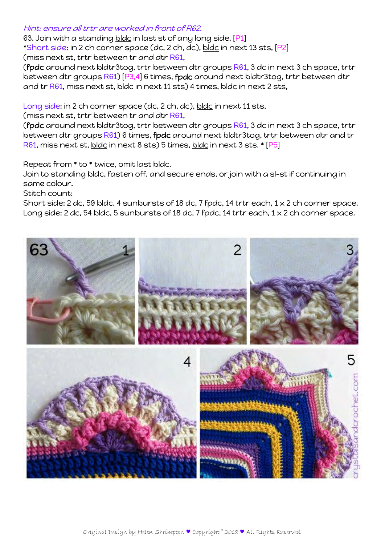### Hint: ensure all trtr are worked in front of R62.

63. Join with a standing bldc in last st of any long side, [P1] \*Short side: in 2 ch corner space (dc, 2 ch, dc), bldc in next 13 sts, [P2] (miss next st, trtr between tr and dtr R61,

(fpdc around next bldtr3tog, trtr between dtr groups R61, 3 dc in next 3 ch space, trtr between dtr groups R61) [P3,4] 6 times, fpdc around next bldtr3tog, trtr between dtr and tr R61, miss next st, bldc in next 11 sts) 4 times, bldc in next 2 sts,

Long side: in 2 ch corner space (dc, 2 ch, dc), bldc in next 11 sts,

(miss next st, trtr between tr and dtr R61,

(fpdc around next bldtr3tog, trtr between dtr groups R61, 3 dc in next 3 ch space, trtr between dtr groups R61) 6 times, fpdc around next bldtr3tog, trtr between dtr and tr R61, miss next st, bldc in next 8 sts) 5 times, bldc in next 3 sts. \* [P5]

Repeat from \* to \* twice, omit last bldc.

Join to standing bldc, fasten off, and secure ends, or join with a sl-st if continuing in same colour.

Stitch count:

Short side: 2 dc, 59 bldc, 4 sunbursts of 18 dc, 7 fpdc, 14 trtr each, 1 x 2 ch corner space. Long side: 2 dc, 54 bldc, 5 sunbursts of 18 dc, 7 fpdc, 14 trtr each,  $1 \times 2$  ch corner space.

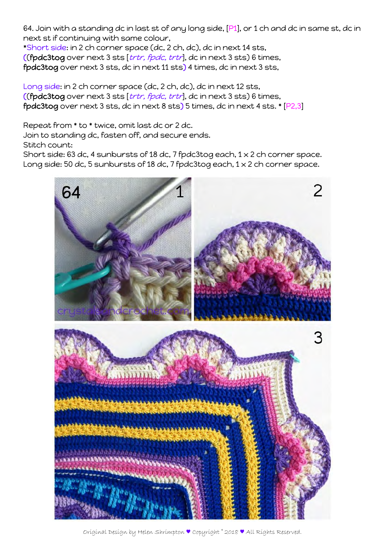64. Join with a standing dc in last st of any long side, [P1], or 1 ch and dc in same st, dc in next st if continuing with same colour,

\*Short side: in 2 ch corner space (dc, 2 ch, dc), dc in next 14 sts, ((fpdc3tog over next 3 sts [trtr, fpdc, trtr], dc in next 3 sts) 6 times, fpdc3tog over next 3 sts, dc in next 11 sts) 4 times, dc in next 3 sts,

Long side: in 2 ch corner space (dc, 2 ch, dc), dc in next 12 sts, ((fpdc3tog over next 3 sts [trtr, fpdc, trtr], dc in next 3 sts) 6 times, fpdc3tog over next 3 sts, dc in next 8 sts) 5 times, dc in next 4 sts. \* [P2,3]

Repeat from \* to \* twice, omit last dc or 2 dc.

Join to standing dc, fasten off, and secure ends.

Stitch count:

Short side: 63 dc, 4 sunbursts of 18 dc, 7 fpdc3tog each,  $1 \times 2$  ch corner space. Long side: 50 dc, 5 sunbursts of 18 dc, 7 fpdc3tog each, 1 x 2 ch corner space.



Original Design by Helen Shrimpton ♥ Copyright © 2018 ♥ All Rights Reserved.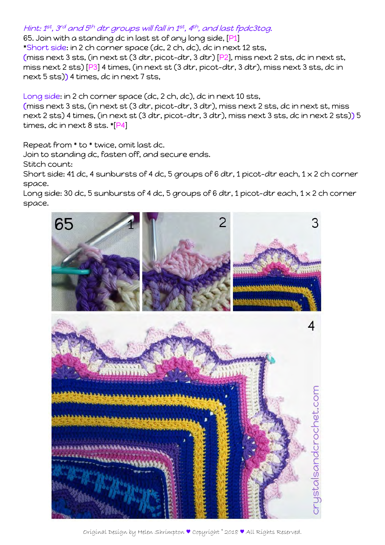# Hint: 1st, 3rd and 5th dtr groups will fall in 1st, 4th, and last fpdc3tog.

65. Join with a standing dc in last st of any long side, [P1]

\*Short side: in 2 ch corner space (dc, 2 ch, dc), dc in next 12 sts,

(miss next 3 sts, (in next st (3 dtr, picot-dtr, 3 dtr) [P2], miss next 2 sts, dc in next st, miss next 2 sts) [P3] 4 times, (in next st (3 dtr, picot-dtr, 3 dtr), miss next 3 sts, dc in next 5 sts)) 4 times, dc in next 7 sts,

Long side: in 2 ch corner space (dc, 2 ch, dc), dc in next 10 sts,

(miss next 3 sts, (in next st (3 dtr, picot-dtr, 3 dtr), miss next 2 sts, dc in next st, miss next 2 sts) 4 times, (in next st (3 dtr, picot-dtr, 3 dtr), miss next 3 sts, dc in next 2 sts)) 5 times, dc in next 8 sts. \*[P4]

Repeat from \* to \* twice, omit last dc.

Join to standing dc, fasten off, and secure ends.

Stitch count:

Short side: 41 dc, 4 sunbursts of 4 dc, 5 groups of 6 dtr, 1 picot-dtr each, 1 x 2 ch corner space.

Long side: 30 dc, 5 sunbursts of 4 dc, 5 groups of 6 dtr, 1 picot-dtr each,  $1 \times 2$  ch corner space.



Original Design by Helen Shrimpton ♥ Copyright © 2018 ♥ All Rights Reserved.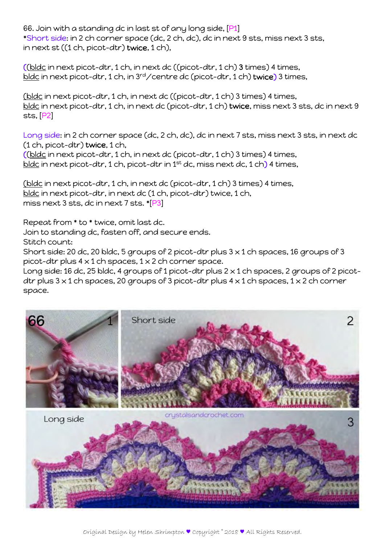66. Join with a standing dc in last st of any long side, [P1] \*Short side: in 2 ch corner space (dc, 2 ch, dc), dc in next 9 sts, miss next 3 sts, in next st ((1 ch, picot-dtr) twice, 1 ch),

((bldc in next picot-dtr, 1 ch, in next dc ((picot-dtr, 1 ch) 3 times) 4 times, bldc in next picot-dtr, 1 ch, in 3<sup>rd</sup>/centre dc (picot-dtr, 1 ch) twice) 3 times,

(bldc in next picot-dtr, 1 ch, in next dc ((picot-dtr, 1 ch) 3 times) 4 times, bldc in next picot-dtr, 1 ch, in next dc (picot-dtr, 1 ch) twice, miss next 3 sts, dc in next 9 sts, [P2]

Long side: in 2 ch corner space (dc, 2 ch, dc), dc in next 7 sts, miss next 3 sts, in next dc (1 ch, picot-dtr) twice, 1 ch,

((bldc in next picot-dtr, 1 ch, in next dc (picot-dtr, 1 ch) 3 times) 4 times, bldc in next picot-dtr, 1 ch, picot-dtr in 1<sup>st</sup> dc, miss next dc, 1 ch) 4 times,

(bldc in next picot-dtr, 1 ch, in next dc (picot-dtr, 1 ch) 3 times) 4 times, bldc in next picot-dtr, in next dc (1 ch, picot-dtr) twice, 1 ch, miss next 3 sts, dc in next 7 sts. \*[P3]

Repeat from \* to \* twice, omit last dc.

Join to standing dc, fasten off, and secure ends.

Stitch count:

Short side: 20 dc, 20 bldc, 5 groups of 2 picot-dtr plus  $3 \times 1$  ch spaces, 16 groups of 3 picot-dtr plus  $4 \times 1$  ch spaces,  $1 \times 2$  ch corner space.

Long side: 16 dc, 25 bldc, 4 groups of 1 picot-dtr plus  $2 \times 1$  ch spaces, 2 groups of 2 picotdtr plus  $3 \times 1$  ch spaces, 20 groups of 3 picot-dtr plus  $4 \times 1$  ch spaces,  $1 \times 2$  ch corner space.